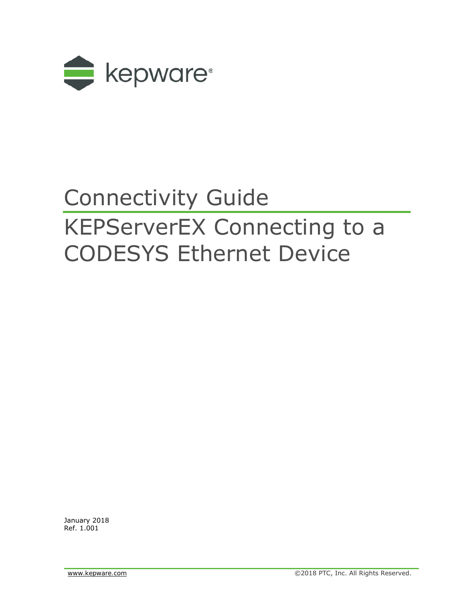

# Connectivity Guide KEPServerEX Connecting to a CODESYS Ethernet Device

January 2018 Ref. 1.001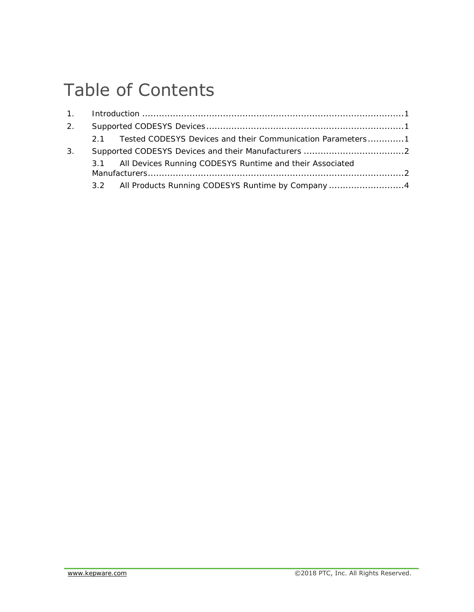## Table of Contents

| 2 <sub>1</sub> |    |                                                              |  |
|----------------|----|--------------------------------------------------------------|--|
|                | 21 | Tested CODESYS Devices and their Communication Parameters1   |  |
| 3.             |    |                                                              |  |
|                |    | 3.1 All Devices Running CODESYS Runtime and their Associated |  |
|                |    |                                                              |  |
|                |    | 3.2 All Products Running CODESYS Runtime by Company4         |  |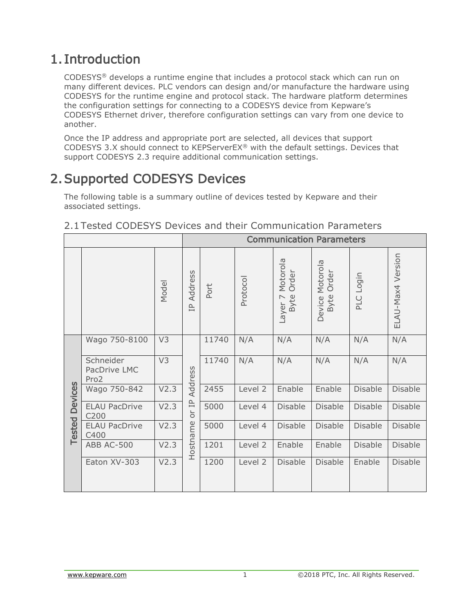## <span id="page-2-0"></span>1. Introduction

CODESYS® develops a runtime engine that includes a protocol stack which can run on many different devices. PLC vendors can design and/or manufacture the hardware using CODESYS for the runtime engine and protocol stack. The hardware platform determines the configuration settings for connecting to a CODESYS device from Kepware's CODESYS Ethernet driver, therefore configuration settings can vary from one device to another.

Once the IP address and appropriate port are selected, all devices that support CODESYS 3.X should connect to KEPServerEX® with the default settings. Devices that support CODESYS 2.3 require additional communication settings.

## <span id="page-2-1"></span>2.Supported CODESYS Devices

The following table is a summary outline of devices tested by Kepware and their associated settings.

|                                 |                                      |                  | <b>Communication Parameters</b>    |         |          |                                                        |                                     |                |                   |
|---------------------------------|--------------------------------------|------------------|------------------------------------|---------|----------|--------------------------------------------------------|-------------------------------------|----------------|-------------------|
|                                 |                                      | Model            | Address<br>$\overline{\mathbb{L}}$ | Port    | Protocol | Motorola<br>Order<br>Byte<br>$\triangleright$<br>Layer | Motorola<br>Order<br>Byte<br>Device | Login<br>PLC   | ELAU-Max4 Version |
|                                 | Wago 750-8100                        | V3               |                                    | 11740   | N/A      | N/A                                                    | N/A                                 | N/A            | N/A               |
| <b>Devices</b><br><b>Tested</b> | Schneider<br>PacDrive LMC<br>Pro2    | V3               | Address<br>V2.3                    | 11740   | N/A      | N/A                                                    | N/A                                 | N/A            | N/A               |
|                                 | Wago 750-842                         |                  |                                    | 2455    | Level 2  | Enable                                                 | Enable                              | <b>Disable</b> | <b>Disable</b>    |
|                                 | V2.3<br><b>ELAU PacDrive</b><br>C200 |                  | $\overline{\mathbb{P}}$<br>ò       | 5000    | Level 4  | <b>Disable</b>                                         | <b>Disable</b>                      | <b>Disable</b> | Disable           |
|                                 | <b>ELAU PacDrive</b><br>C400         | V2.3             |                                    | 5000    | Level 4  | <b>Disable</b>                                         | <b>Disable</b>                      | <b>Disable</b> | <b>Disable</b>    |
|                                 | ABB AC-500                           | Hostname<br>V2.3 | 1201                               | Level 2 | Enable   | Enable                                                 | <b>Disable</b>                      | <b>Disable</b> |                   |
|                                 | Eaton XV-303                         | V2.3             |                                    | 1200    | Level 2  | <b>Disable</b>                                         | <b>Disable</b>                      | Enable         | <b>Disable</b>    |

#### <span id="page-2-2"></span>2.1Tested CODESYS Devices and their Communication Parameters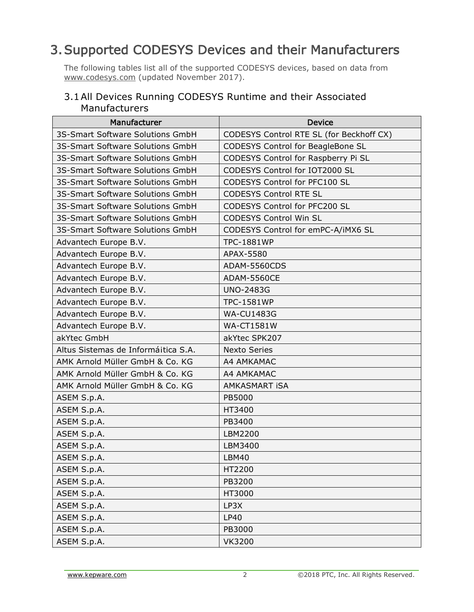## <span id="page-3-0"></span>3.Supported CODESYS Devices and their Manufacturers

The following tables list all of the supported CODESYS devices, based on data from www.codesys.com (updated November 2017).

#### <span id="page-3-1"></span>3.1All Devices Running CODESYS Runtime and their Associated Manufacturers

| Manufacturer                        | <b>Device</b>                            |
|-------------------------------------|------------------------------------------|
| 3S-Smart Software Solutions GmbH    | CODESYS Control RTE SL (for Beckhoff CX) |
| 3S-Smart Software Solutions GmbH    | CODESYS Control for BeagleBone SL        |
| 3S-Smart Software Solutions GmbH    | CODESYS Control for Raspberry Pi SL      |
| 3S-Smart Software Solutions GmbH    | CODESYS Control for IOT2000 SL           |
| 3S-Smart Software Solutions GmbH    | CODESYS Control for PFC100 SL            |
| 3S-Smart Software Solutions GmbH    | <b>CODESYS Control RTE SL</b>            |
| 3S-Smart Software Solutions GmbH    | CODESYS Control for PFC200 SL            |
| 3S-Smart Software Solutions GmbH    | <b>CODESYS Control Win SL</b>            |
| 3S-Smart Software Solutions GmbH    | CODESYS Control for emPC-A/iMX6 SL       |
| Advantech Europe B.V.               | <b>TPC-1881WP</b>                        |
| Advantech Europe B.V.               | APAX-5580                                |
| Advantech Europe B.V.               | ADAM-5560CDS                             |
| Advantech Europe B.V.               | <b>ADAM-5560CE</b>                       |
| Advantech Europe B.V.               | <b>UNO-2483G</b>                         |
| Advantech Europe B.V.               | <b>TPC-1581WP</b>                        |
| Advantech Europe B.V.               | <b>WA-CU1483G</b>                        |
| Advantech Europe B.V.               | <b>WA-CT1581W</b>                        |
| akYtec GmbH                         | akYtec SPK207                            |
| Altus Sistemas de Informáitica S.A. | <b>Nexto Series</b>                      |
| AMK Arnold Müller GmbH & Co. KG     | A4 AMKAMAC                               |
| AMK Arnold Müller GmbH & Co. KG     | A4 AMKAMAC                               |
| AMK Arnold Müller GmbH & Co. KG     | AMKASMART ISA                            |
| ASEM S.p.A.                         | PB5000                                   |
| ASEM S.p.A.                         | HT3400                                   |
| ASEM S.p.A.                         | PB3400                                   |
| ASEM S.p.A.                         | LBM2200                                  |
| ASEM S.p.A.                         | LBM3400                                  |
| ASEM S.p.A.                         | <b>LBM40</b>                             |
| ASEM S.p.A.                         | HT2200                                   |
| ASEM S.p.A.                         | PB3200                                   |
| ASEM S.p.A.                         | HT3000                                   |
| ASEM S.p.A.                         | LP3X                                     |
| ASEM S.p.A.                         | LP40                                     |
| ASEM S.p.A.                         | PB3000                                   |
| ASEM S.p.A.                         | <b>VK3200</b>                            |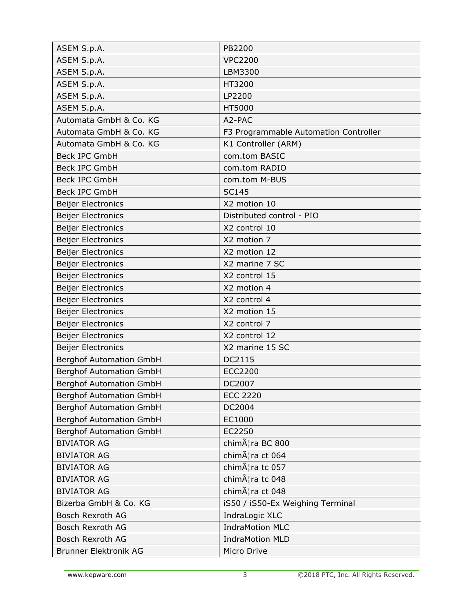| ASEM S.p.A.                    | PB2200                                |
|--------------------------------|---------------------------------------|
| ASEM S.p.A.                    | <b>VPC2200</b>                        |
| ASEM S.p.A.                    | LBM3300                               |
| ASEM S.p.A.                    | HT3200                                |
| ASEM S.p.A.                    | LP2200                                |
| ASEM S.p.A.                    | HT5000                                |
| Automata GmbH & Co. KG         | A2-PAC                                |
| Automata GmbH & Co. KG         | F3 Programmable Automation Controller |
| Automata GmbH & Co. KG         | K1 Controller (ARM)                   |
| <b>Beck IPC GmbH</b>           | com.tom BASIC                         |
| <b>Beck IPC GmbH</b>           | com.tom RADIO                         |
| <b>Beck IPC GmbH</b>           | com.tom M-BUS                         |
| <b>Beck IPC GmbH</b>           | <b>SC145</b>                          |
| <b>Beijer Electronics</b>      | X2 motion 10                          |
| <b>Beijer Electronics</b>      | Distributed control - PIO             |
| <b>Beijer Electronics</b>      | X2 control 10                         |
| <b>Beijer Electronics</b>      | X2 motion 7                           |
| <b>Beijer Electronics</b>      | X2 motion 12                          |
| Beijer Electronics             | X2 marine 7 SC                        |
| <b>Beijer Electronics</b>      | X2 control 15                         |
| <b>Beijer Electronics</b>      | X2 motion 4                           |
| <b>Beijer Electronics</b>      | X2 control 4                          |
| <b>Beijer Electronics</b>      | X2 motion 15                          |
| <b>Beijer Electronics</b>      | X2 control 7                          |
| <b>Beijer Electronics</b>      | X2 control 12                         |
| <b>Beijer Electronics</b>      | X2 marine 15 SC                       |
| <b>Berghof Automation GmbH</b> | DC2115                                |
| <b>Berghof Automation GmbH</b> | <b>ECC2200</b>                        |
| <b>Berghof Automation GmbH</b> | DC2007                                |
| <b>Berghof Automation GmbH</b> | <b>ECC 2220</b>                       |
| <b>Berghof Automation GmbH</b> | DC2004                                |
| <b>Berghof Automation GmbH</b> | EC1000                                |
| <b>Berghof Automation GmbH</b> | EC2250                                |
| <b>BIVIATOR AG</b>             | chimæra BC 800                        |
| <b>BIVIATOR AG</b>             | chim¦ra ct 064                        |
| <b>BIVIATOR AG</b>             | chim¦ra tc 057                        |
| <b>BIVIATOR AG</b>             | chim¦ra tc 048                        |
| <b>BIVIATOR AG</b>             | chim¦ra ct 048                        |
| Bizerba GmbH & Co. KG          | iS50 / iS50-Ex Weighing Terminal      |
| <b>Bosch Rexroth AG</b>        | IndraLogic XLC                        |
| Bosch Rexroth AG               | <b>IndraMotion MLC</b>                |
| <b>Bosch Rexroth AG</b>        | <b>IndraMotion MLD</b>                |
| <b>Brunner Elektronik AG</b>   | Micro Drive                           |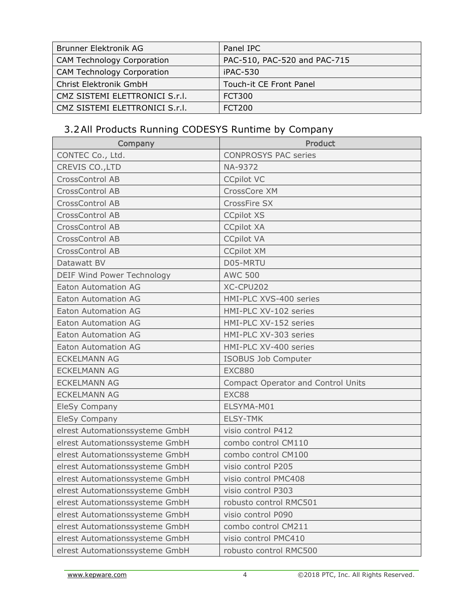| Brunner Elektronik AG             | Panel IPC                    |
|-----------------------------------|------------------------------|
| <b>CAM Technology Corporation</b> | PAC-510, PAC-520 and PAC-715 |
| <b>CAM Technology Corporation</b> | iPAC-530                     |
| Christ Elektronik GmbH            | Touch-it CE Front Panel      |
| CMZ SISTEMI ELETTRONICI S.r.l.    | FCT300                       |
| CMZ SISTEMI ELETTRONICI S.r.I.    | <b>FCT200</b>                |

### <span id="page-5-0"></span>3.2All Products Running CODESYS Runtime by Company

| Company                        | <b>Product</b>                            |
|--------------------------------|-------------------------------------------|
| CONTEC Co., Ltd.               | <b>CONPROSYS PAC series</b>               |
| CREVIS CO., LTD                | NA-9372                                   |
| CrossControl AB                | <b>CCpilot VC</b>                         |
| CrossControl AB                | CrossCore XM                              |
| CrossControl AB                | CrossFire SX                              |
| CrossControl AB                | <b>CCpilot XS</b>                         |
| <b>CrossControl AB</b>         | <b>CCpilot XA</b>                         |
| <b>CrossControl AB</b>         | <b>CCpilot VA</b>                         |
| CrossControl AB                | <b>CCpilot XM</b>                         |
| Datawatt BV                    | D05-MRTU                                  |
| DEIF Wind Power Technology     | <b>AWC 500</b>                            |
| <b>Eaton Automation AG</b>     | XC-CPU202                                 |
| <b>Eaton Automation AG</b>     | HMI-PLC XVS-400 series                    |
| <b>Eaton Automation AG</b>     | HMI-PLC XV-102 series                     |
| <b>Eaton Automation AG</b>     | HMI-PLC XV-152 series                     |
| <b>Eaton Automation AG</b>     | HMI-PLC XV-303 series                     |
| <b>Eaton Automation AG</b>     | HMI-PLC XV-400 series                     |
| <b>ECKELMANN AG</b>            | ISOBUS Job Computer                       |
| <b>ECKELMANN AG</b>            | <b>EXC880</b>                             |
| <b>ECKELMANN AG</b>            | <b>Compact Operator and Control Units</b> |
| <b>ECKELMANN AG</b>            | EXC88                                     |
| EleSy Company                  | ELSYMA-M01                                |
| EleSy Company                  | <b>ELSY-TMK</b>                           |
| elrest Automationssysteme GmbH | visio control P412                        |
| elrest Automationssysteme GmbH | combo control CM110                       |
| elrest Automationssysteme GmbH | combo control CM100                       |
| elrest Automationssysteme GmbH | visio control P205                        |
| elrest Automationssysteme GmbH | visio control PMC408                      |
| elrest Automationssysteme GmbH | visio control P303                        |
| elrest Automationssysteme GmbH | robusto control RMC501                    |
| elrest Automationssysteme GmbH | visio control P090                        |
| elrest Automationssysteme GmbH | combo control CM211                       |
| elrest Automationssysteme GmbH | visio control PMC410                      |
| elrest Automationssysteme GmbH | robusto control RMC500                    |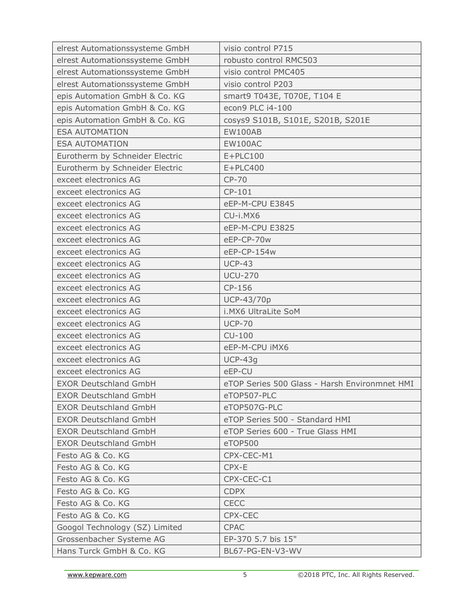| elrest Automationssysteme GmbH  | visio control P715                            |
|---------------------------------|-----------------------------------------------|
| elrest Automationssysteme GmbH  | robusto control RMC503                        |
| elrest Automationssysteme GmbH  | visio control PMC405                          |
| elrest Automationssysteme GmbH  | visio control P203                            |
| epis Automation GmbH & Co. KG   | smart9 T043E, T070E, T104 E                   |
| epis Automation GmbH & Co. KG   | econ9 PLC i4-100                              |
| epis Automation GmbH & Co. KG   | cosys9 S101B, S101E, S201B, S201E             |
| <b>ESA AUTOMATION</b>           | <b>EW100AB</b>                                |
| <b>ESA AUTOMATION</b>           | <b>EW100AC</b>                                |
| Eurotherm by Schneider Electric | $E+PLC100$                                    |
| Eurotherm by Schneider Electric | $E+PLC400$                                    |
| exceet electronics AG           | CP-70                                         |
| exceet electronics AG           | CP-101                                        |
| exceet electronics AG           | eEP-M-CPU E3845                               |
| exceet electronics AG           | CU-i.MX6                                      |
| exceet electronics AG           | eEP-M-CPU E3825                               |
| exceet electronics AG           | eEP-CP-70w                                    |
| exceet electronics AG           | eEP-CP-154w                                   |
| exceet electronics AG           | <b>UCP-43</b>                                 |
| exceet electronics AG           | <b>UCU-270</b>                                |
| exceet electronics AG           | CP-156                                        |
| exceet electronics AG           | UCP-43/70p                                    |
| exceet electronics AG           | i.MX6 UltraLite SoM                           |
| exceet electronics AG           | <b>UCP-70</b>                                 |
| exceet electronics AG           | $CU-100$                                      |
| exceet electronics AG           | eEP-M-CPU iMX6                                |
| exceet electronics AG           | $UCP-43q$                                     |
| exceet electronics AG           | eEP-CU                                        |
| <b>EXOR Deutschland GmbH</b>    | eTOP Series 500 Glass - Harsh Environmnet HMI |
| <b>EXOR Deutschland GmbH</b>    | eTOP507-PLC                                   |
| <b>EXOR Deutschland GmbH</b>    | eTOP507G-PLC                                  |
| <b>EXOR Deutschland GmbH</b>    | eTOP Series 500 - Standard HMI                |
| <b>EXOR Deutschland GmbH</b>    | eTOP Series 600 - True Glass HMI              |
| <b>EXOR Deutschland GmbH</b>    | eTOP500                                       |
| Festo AG & Co. KG               | CPX-CEC-M1                                    |
| Festo AG & Co. KG               | CPX-E                                         |
| Festo AG & Co. KG               | CPX-CEC-C1                                    |
| Festo AG & Co. KG               | <b>CDPX</b>                                   |
| Festo AG & Co. KG               | <b>CECC</b>                                   |
| Festo AG & Co. KG               | CPX-CEC                                       |
| Googol Technology (SZ) Limited  | <b>CPAC</b>                                   |
| Grossenbacher Systeme AG        | EP-370 5.7 bis 15"                            |
| Hans Turck GmbH & Co. KG        | BL67-PG-EN-V3-WV                              |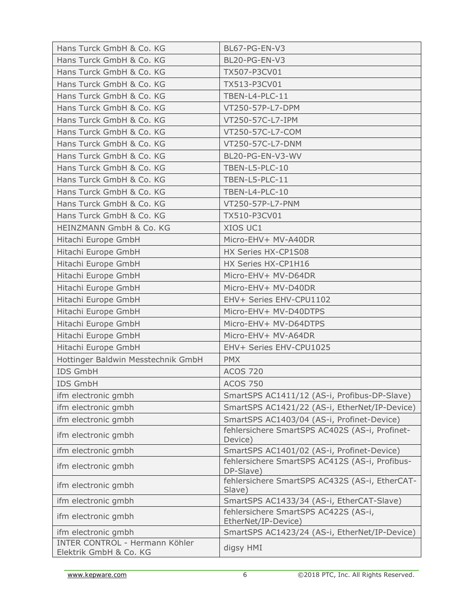| Hans Turck GmbH & Co. KG                                 | BL67-PG-EN-V3                                               |
|----------------------------------------------------------|-------------------------------------------------------------|
| Hans Turck GmbH & Co. KG                                 | BL20-PG-EN-V3                                               |
| Hans Turck GmbH & Co. KG                                 | TX507-P3CV01                                                |
| Hans Turck GmbH & Co. KG                                 | TX513-P3CV01                                                |
| Hans Turck GmbH & Co. KG                                 | TBEN-L4-PLC-11                                              |
| Hans Turck GmbH & Co. KG                                 | VT250-57P-L7-DPM                                            |
| Hans Turck GmbH & Co. KG                                 | VT250-57C-L7-IPM                                            |
| Hans Turck GmbH & Co. KG                                 | VT250-57C-L7-COM                                            |
| Hans Turck GmbH & Co. KG                                 | VT250-57C-L7-DNM                                            |
| Hans Turck GmbH & Co. KG                                 | BL20-PG-EN-V3-WV                                            |
| Hans Turck GmbH & Co. KG                                 | TBEN-L5-PLC-10                                              |
| Hans Turck GmbH & Co. KG                                 | TBEN-L5-PLC-11                                              |
| Hans Turck GmbH & Co. KG                                 | TBEN-L4-PLC-10                                              |
| Hans Turck GmbH & Co. KG                                 | VT250-57P-L7-PNM                                            |
| Hans Turck GmbH & Co. KG                                 | TX510-P3CV01                                                |
| <b>HEINZMANN GmbH &amp; Co. KG</b>                       | XIOS UC1                                                    |
| Hitachi Europe GmbH                                      | Micro-EHV+ MV-A40DR                                         |
| Hitachi Europe GmbH                                      | HX Series HX-CP1S08                                         |
| Hitachi Europe GmbH                                      | HX Series HX-CP1H16                                         |
| Hitachi Europe GmbH                                      | Micro-EHV+ MV-D64DR                                         |
| Hitachi Europe GmbH                                      | Micro-EHV+ MV-D40DR                                         |
| Hitachi Europe GmbH                                      | EHV+ Series EHV-CPU1102                                     |
| Hitachi Europe GmbH                                      | Micro-EHV+ MV-D40DTPS                                       |
| Hitachi Europe GmbH                                      | Micro-EHV+ MV-D64DTPS                                       |
| Hitachi Europe GmbH                                      | Micro-EHV+ MV-A64DR                                         |
| Hitachi Europe GmbH                                      | EHV+ Series EHV-CPU1025                                     |
| Hottinger Baldwin Messtechnik GmbH                       | <b>PMX</b>                                                  |
| <b>IDS GmbH</b>                                          | <b>ACOS 720</b>                                             |
| <b>IDS GmbH</b>                                          | <b>ACOS 750</b>                                             |
| ifm electronic gmbh                                      | SmartSPS AC1411/12 (AS-i, Profibus-DP-Slave)                |
| ifm electronic gmbh                                      | SmartSPS AC1421/22 (AS-i, EtherNet/IP-Device)               |
| ifm electronic gmbh                                      | SmartSPS AC1403/04 (AS-i, Profinet-Device)                  |
| ifm electronic gmbh                                      | fehlersichere SmartSPS AC402S (AS-i, Profinet-<br>Device)   |
| ifm electronic gmbh                                      | SmartSPS AC1401/02 (AS-i, Profinet-Device)                  |
| ifm electronic gmbh                                      | fehlersichere SmartSPS AC412S (AS-i, Profibus-<br>DP-Slave) |
| ifm electronic gmbh                                      | fehlersichere SmartSPS AC432S (AS-i, EtherCAT-<br>Slave)    |
| ifm electronic gmbh                                      | SmartSPS AC1433/34 (AS-i, EtherCAT-Slave)                   |
| ifm electronic gmbh                                      | fehlersichere SmartSPS AC422S (AS-i,<br>EtherNet/IP-Device) |
| ifm electronic gmbh                                      | SmartSPS AC1423/24 (AS-i, EtherNet/IP-Device)               |
| INTER CONTROL - Hermann Köhler<br>Elektrik GmbH & Co. KG | digsy HMI                                                   |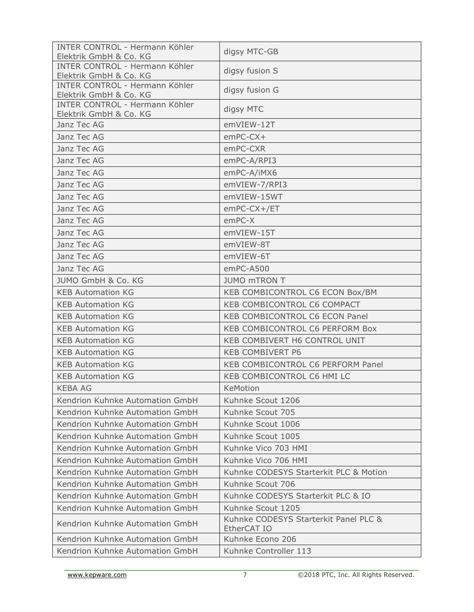| INTER CONTROL - Hermann Köhler<br>Elektrik GmbH & Co. KG | digsy MTC-GB                                         |
|----------------------------------------------------------|------------------------------------------------------|
| INTER CONTROL - Hermann Köhler<br>Elektrik GmbH & Co. KG | digsy fusion S                                       |
| INTER CONTROL - Hermann Köhler<br>Elektrik GmbH & Co. KG | digsy fusion G                                       |
| INTER CONTROL - Hermann Köhler<br>Elektrik GmbH & Co. KG | digsy MTC                                            |
| Janz Tec AG                                              | emVIEW-12T                                           |
| Janz Tec AG                                              | $emPC-CX+$                                           |
| Janz Tec AG                                              | emPC-CXR                                             |
| Janz Tec AG                                              | emPC-A/RPI3                                          |
| Janz Tec AG                                              | emPC-A/iMX6                                          |
| Janz Tec AG                                              | emVIEW-7/RPI3                                        |
| Janz Tec AG                                              | emVIEW-15WT                                          |
| Janz Tec AG                                              | $emPC-CX+/ET$                                        |
| Janz Tec AG                                              | $emPC-X$                                             |
| Janz Tec AG                                              | emVIEW-15T                                           |
| Janz Tec AG                                              | emVIEW-8T                                            |
| Janz Tec AG                                              | emVIEW-6T                                            |
| Janz Tec AG                                              | emPC-A500                                            |
| JUMO GmbH & Co. KG                                       | <b>JUMO mTRON T</b>                                  |
| <b>KEB Automation KG</b>                                 | KEB COMBICONTROL C6 ECON Box/BM                      |
| <b>KEB Automation KG</b>                                 | KEB COMBICONTROL C6 COMPACT                          |
| <b>KEB Automation KG</b>                                 | KEB COMBICONTROL C6 ECON Panel                       |
| <b>KEB Automation KG</b>                                 | KEB COMBICONTROL C6 PERFORM Box                      |
| <b>KEB Automation KG</b>                                 | KEB COMBIVERT H6 CONTROL UNIT                        |
| <b>KEB Automation KG</b>                                 | <b>KEB COMBIVERT P6</b>                              |
| <b>KEB Automation KG</b>                                 | KEB COMBICONTROL C6 PERFORM Panel                    |
| <b>KEB Automation KG</b>                                 | KEB COMBICONTROL C6 HMI LC                           |
| <b>KEBA AG</b>                                           | KeMotion                                             |
| Kendrion Kuhnke Automation GmbH                          | Kuhnke Scout 1206                                    |
| Kendrion Kuhnke Automation GmbH                          | Kuhnke Scout 705                                     |
| Kendrion Kuhnke Automation GmbH                          | Kuhnke Scout 1006                                    |
| Kendrion Kuhnke Automation GmbH                          | Kuhnke Scout 1005                                    |
| Kendrion Kuhnke Automation GmbH                          | Kuhnke Vico 703 HMI                                  |
| Kendrion Kuhnke Automation GmbH                          | Kuhnke Vico 706 HMI                                  |
| Kendrion Kuhnke Automation GmbH                          | Kuhnke CODESYS Starterkit PLC & Motion               |
| Kendrion Kuhnke Automation GmbH                          | Kuhnke Scout 706                                     |
| Kendrion Kuhnke Automation GmbH                          | Kuhnke CODESYS Starterkit PLC & IO                   |
| Kendrion Kuhnke Automation GmbH                          | Kuhnke Scout 1205                                    |
| Kendrion Kuhnke Automation GmbH                          | Kuhnke CODESYS Starterkit Panel PLC &<br>EtherCAT IO |
| Kendrion Kuhnke Automation GmbH                          | Kuhnke Econo 206                                     |
| Kendrion Kuhnke Automation GmbH                          | Kuhnke Controller 113                                |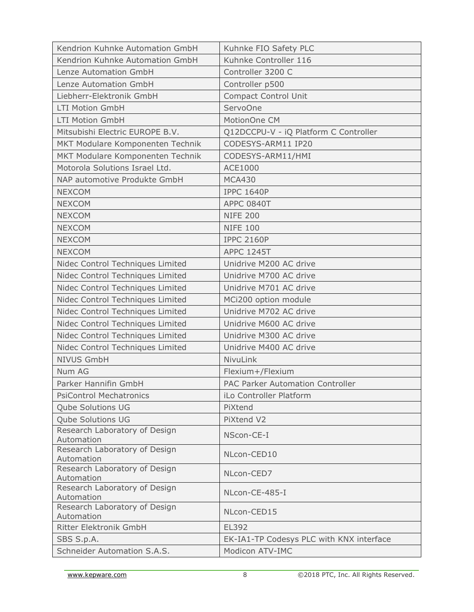| Kendrion Kuhnke Automation GmbH             | Kuhnke FIO Safety PLC                    |
|---------------------------------------------|------------------------------------------|
| Kendrion Kuhnke Automation GmbH             | Kuhnke Controller 116                    |
| Lenze Automation GmbH                       | Controller 3200 C                        |
| Lenze Automation GmbH                       | Controller p500                          |
| Liebherr-Elektronik GmbH                    | <b>Compact Control Unit</b>              |
| <b>LTI Motion GmbH</b>                      | ServoOne                                 |
| <b>LTI Motion GmbH</b>                      | MotionOne CM                             |
| Mitsubishi Electric EUROPE B.V.             | Q12DCCPU-V - iQ Platform C Controller    |
| MKT Modulare Komponenten Technik            | CODESYS-ARM11 IP20                       |
| MKT Modulare Komponenten Technik            | CODESYS-ARM11/HMI                        |
| Motorola Solutions Israel Ltd.              | <b>ACE1000</b>                           |
| NAP automotive Produkte GmbH                | <b>MCA430</b>                            |
| <b>NEXCOM</b>                               | <b>IPPC 1640P</b>                        |
| <b>NEXCOM</b>                               | <b>APPC 0840T</b>                        |
| <b>NEXCOM</b>                               | <b>NIFE 200</b>                          |
| <b>NEXCOM</b>                               | <b>NIFE 100</b>                          |
| <b>NEXCOM</b>                               | <b>IPPC 2160P</b>                        |
| <b>NEXCOM</b>                               | <b>APPC 1245T</b>                        |
| Nidec Control Techniques Limited            | Unidrive M200 AC drive                   |
| Nidec Control Techniques Limited            | Unidrive M700 AC drive                   |
| Nidec Control Techniques Limited            | Unidrive M701 AC drive                   |
| Nidec Control Techniques Limited            | MCi200 option module                     |
| Nidec Control Techniques Limited            | Unidrive M702 AC drive                   |
| Nidec Control Techniques Limited            | Unidrive M600 AC drive                   |
| Nidec Control Techniques Limited            | Unidrive M300 AC drive                   |
| Nidec Control Techniques Limited            | Unidrive M400 AC drive                   |
| <b>NIVUS GmbH</b>                           | NivuLink                                 |
| Num AG                                      | Flexium+/Flexium                         |
| Parker Hannifin GmbH                        | PAC Parker Automation Controller         |
| <b>PsiControl Mechatronics</b>              | iLo Controller Platform                  |
| Qube Solutions UG                           | PiXtend                                  |
| <b>Qube Solutions UG</b>                    | PiXtend V2                               |
| Research Laboratory of Design               |                                          |
| Automation                                  | NScon-CE-I                               |
| Research Laboratory of Design               | NLcon-CED10                              |
| Automation<br>Research Laboratory of Design |                                          |
| Automation                                  | NLcon-CED7                               |
| Research Laboratory of Design               | NLcon-CE-485-I                           |
| Automation                                  |                                          |
| Research Laboratory of Design<br>Automation | NLcon-CED15                              |
| Ritter Elektronik GmbH                      | EL392                                    |
| SBS S.p.A.                                  | EK-IA1-TP Codesys PLC with KNX interface |
| Schneider Automation S.A.S.                 | Modicon ATV-IMC                          |
|                                             |                                          |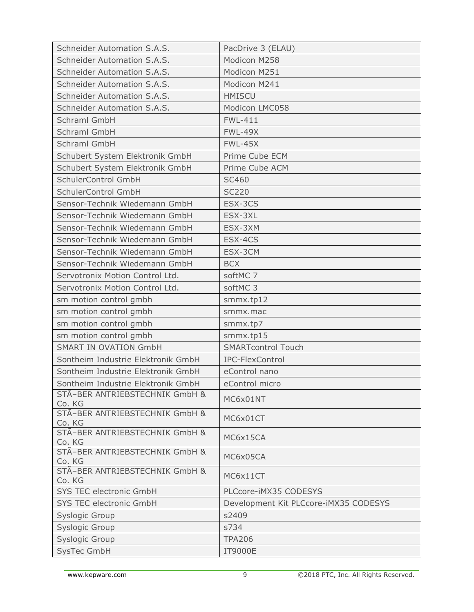| Schneider Automation S.A.S.              | PacDrive 3 (ELAU)                     |
|------------------------------------------|---------------------------------------|
| Schneider Automation S.A.S.              | Modicon M258                          |
| Schneider Automation S.A.S.              | Modicon M251                          |
| Schneider Automation S.A.S.              | Modicon M241                          |
| Schneider Automation S.A.S.              | <b>HMISCU</b>                         |
| <b>Schneider Automation S.A.S.</b>       | Modicon LMC058                        |
| Schraml GmbH                             | <b>FWL-411</b>                        |
| Schraml GmbH                             | <b>FWL-49X</b>                        |
| Schraml GmbH                             | <b>FWL-45X</b>                        |
| Schubert System Elektronik GmbH          | Prime Cube ECM                        |
| Schubert System Elektronik GmbH          | Prime Cube ACM                        |
| SchulerControl GmbH                      | <b>SC460</b>                          |
| SchulerControl GmbH                      | <b>SC220</b>                          |
| Sensor-Technik Wiedemann GmbH            | ESX-3CS                               |
| Sensor-Technik Wiedemann GmbH            | ESX-3XL                               |
| Sensor-Technik Wiedemann GmbH            | ESX-3XM                               |
| Sensor-Technik Wiedemann GmbH            | ESX-4CS                               |
| Sensor-Technik Wiedemann GmbH            | ESX-3CM                               |
| Sensor-Technik Wiedemann GmbH            | <b>BCX</b>                            |
| Servotronix Motion Control Ltd.          | softMC 7                              |
| Servotronix Motion Control Ltd.          | softMC 3                              |
| sm motion control gmbh                   | smmx.tp12                             |
| sm motion control gmbh                   | smmx.mac                              |
| sm motion control gmbh                   | smmx.tp7                              |
| sm motion control gmbh                   | smmx.tp15                             |
| <b>SMART IN OVATION GmbH</b>             | <b>SMARTcontrol Touch</b>             |
| Sontheim Industrie Elektronik GmbH       | IPC-FlexControl                       |
| Sontheim Industrie Elektronik GmbH       | eControl nano                         |
| Sontheim Industrie Elektronik GmbH       | eControl micro                        |
| STÄ-BER ANTRIEBSTECHNIK GmbH &<br>Co. KG | MC6x01NT                              |
| STÄ-BER ANTRIEBSTECHNIK GmbH &<br>Co. KG | MC6x01CT                              |
| STÃ-BER ANTRIEBSTECHNIK GmbH &<br>Co. KG | MC6x15CA                              |
| STÃ-BER ANTRIEBSTECHNIK GmbH &<br>Co. KG | MC6x05CA                              |
| STÃ-BER ANTRIEBSTECHNIK GmbH &<br>Co. KG | MC6x11CT                              |
| <b>SYS TEC electronic GmbH</b>           | PLCcore-iMX35 CODESYS                 |
| SYS TEC electronic GmbH                  | Development Kit PLCcore-iMX35 CODESYS |
| <b>Syslogic Group</b>                    | s2409                                 |
| Syslogic Group                           | s734                                  |
| <b>Syslogic Group</b>                    | <b>TPA206</b>                         |
| SysTec GmbH                              | <b>IT9000E</b>                        |